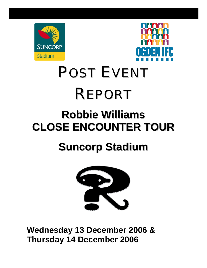



# POST EVENT REPORT

### **Robbie Williams CLOSE ENCOUNTER TOUR**

## **Suncorp Stadium**



**Wednesday 13 December 2006 & Thursday 14 December 2006**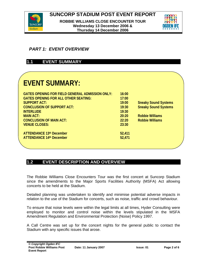



#### *PART 1: EVENT OVERVIEW*

#### **1.1 EVENT SUMMARY**

### **EVENT SUMMARY:**

| <b>GATES OPENING FOR FIELD GENERAL ADMISSION ONLY:</b><br><b>GATES OPENING FOR ALL OTHER SEATING:</b> | 16:00<br>17:00 |                             |  |
|-------------------------------------------------------------------------------------------------------|----------------|-----------------------------|--|
| <b>SUPPORT ACT:</b>                                                                                   | 19:00          | <b>Sneaky Sound Systems</b> |  |
| <b>CONCLUSION OF SUPPORT ACT:</b>                                                                     | 19:30          | <b>Sneaky Sound Systems</b> |  |
| <b>INTERLUDE</b>                                                                                      | 19:30          |                             |  |
| <b>MAIN ACT:</b>                                                                                      | 20:20          | <b>Robbie Williams</b>      |  |
| <b>CONCLUSION OF MAIN ACT:</b>                                                                        | 22:20          | <b>Robbie Williams</b>      |  |
| <b>VENUE CLOSES:</b>                                                                                  | 23:30          |                             |  |
|                                                                                                       |                |                             |  |
| <b>ATTENDANCE 13th December</b>                                                                       | 52,411         |                             |  |
| <b>ATTENDANCE 14th December</b>                                                                       | 52,471         |                             |  |
|                                                                                                       |                |                             |  |

#### **1.2 EVENT DESCRIPTION AND OVERVIEW**

The Robbie Williams Close Encounters Tour was the first concert at Suncorp Stadium since the amendments to the Major Sports Facilities Authority (MSFA) Act allowing concerts to be held at the Stadium.

Detailed planning was undertaken to identify and minimise potential adverse impacts in relation to the use of the Stadium for concerts, such as noise, traffic and crowd behaviour.

To ensure that noise levels were within the legal limits at all times, Hyder Consulting were employed to monitor and control noise within the levels stipulated in the MSFA Amendment Regulation and Environmental Protection (Noise) Policy 1997.

A Call Centre was set up for the concert nights for the general public to contact the Stadium with any specific issues that arose.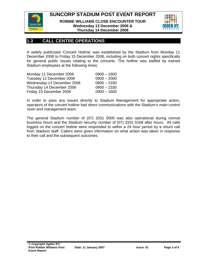**SUNCORP STADIUM POST EVENT REPORT** 



**ROBBIE WILLIAMS CLOSE ENCOUNTER TOUR Wednesday 13 December 2006 & Thursday 14 December 2006** 



#### **1.3 CALL CENTRE OPERATIONS**

A widely publicised 'Concert Hotline' was established by the Stadium from Monday 11 December 2006 to Friday 15 December 2006, including on both concert nights specifically for general public issues relating to the concerts. The hotline was staffed by trained Stadium employees at the following times:

| Monday 11 December 2006    | $0900 - 1600$ |
|----------------------------|---------------|
| Tuesday 12 December 2006   | $0900 - 2000$ |
| Wednesday 13 December 2006 | $0900 - 2330$ |
| Thursday 14 December 2006  | $0900 - 2330$ |
| Friday 15 December 2006    | $0900 - 1600$ |

In order to pass any issues directly to Stadium Management for appropriate action, operators of the concert hotline had direct communications with the Stadium's main control room and management team.

The general Stadium number of (07) 3331 5000 was also operational during normal business hours and the Stadium security number of (07) 3331 5168 after hours. All calls logged on the concert hotline were responded to within a 24 hour period by a return call from Stadium staff. Callers were given information on what action was taken in response to their call and the subsequent outcomes.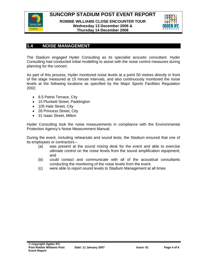



#### **1.4 NOISE MANAGEMENT**

The Stadium engaged Hyder Consulting as its specialist acoustic consultant. Hyder Consulting had conducted initial modelling to assist with the noise control measures during planning for the concert.

As part of this process, Hyder monitored noise levels at a point 50 metres directly in front of the stage measured at 15 minute intervals, and also continuously monitored the noise levels at the following locations as specified by the Major Sports Facilities Regulation 2002.

- 8.5 Petrie Terrace, City
- 15 Plunkett Street, Paddington
- 105 Hale Street, City
- 26 Princess Street, City
- 31 Isaac Street, Milton

Hyder Consulting took the noise measurements in compliance with the Environmental Protection Agency's Noise Measurement Manual.

During the event, including rehearsals and sound tests, the Stadium ensured that one of its employees or contractors –

- (a) was present at the sound mixing desk for the event and able to exercise ultimate control on the noise levels from the sound amplification equipment; and
- (b) could contact and communicate with all of the acoustical consultants conducting the monitoring of the noise levels from the event.
- (c) were able to report sound levels to Stadium Management at all times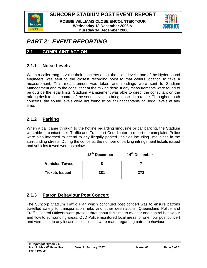**SUNCORP STADIUM POST EVENT REPORT** 



**ROBBIE WILLIAMS CLOSE ENCOUNTER TOUR Wednesday 13 December 2006 & Thursday 14 December 2006** 



#### *PART 2: EVENT REPORTING*

#### **2.1 COMPLAINT ACTION**

#### **2.1.1 Noise Levels**

When a caller rang to voice their concerns about the noise levels, one of the Hyder sound engineers was sent to the closest recording point to that callers location to take a measurement. This measurement was taken and readings were sent to Stadium Management and to the consultant at the mixing desk. If any measurements were found to be outside the legal limits, Stadium Management was able to direct the consultant on the mixing desk to take control of the sound levels to bring it back into range. Throughout both concerts, the sound levels were not found to be at unacceptable or illegal levels at any time.

#### **2.1.2 Parking**

When a call came through to the hotline regarding limousine or car parking, the Stadium was able to contact their Traffic and Transport Coordinator to report the complaint. Police were also informed to attend to any illegally parked vehicles including limousines in the surrounding streets. During the concerts, the number of parking infringement tickets issued and vehicles towed were as below.

|                       | 13 <sup>th</sup> December | 14th December |
|-----------------------|---------------------------|---------------|
| <b>Vehicles Towed</b> |                           |               |
| <b>Tickets Issued</b> | 381                       | 378           |

#### **2.1.3 Patron Behaviour Post Concert**

The Suncorp Stadium Traffic Plan which continued post concert was to ensure patrons travelled safely to transportation hubs and other destinations. Queensland Police and Traffic Control Officers were present throughout this time to monitor and control behaviour and flow to surrounding areas. QLD Police monitored local areas for one hour post concert and were sent to any locations complaints were made regarding patron behaviour.